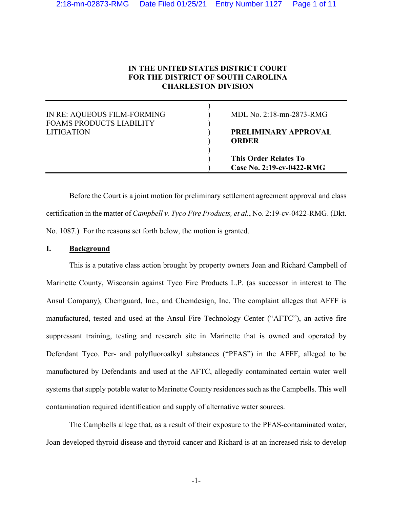# **IN THE UNITED STATES DISTRICT COURT FOR THE DISTRICT OF SOUTH CAROLINA CHARLESTON DIVISION**

| IN RE: AQUEOUS FILM-FORMING<br><b>FOAMS PRODUCTS LIABILITY</b> | MDL No. $2:18$ -mn-2873-RMG                               |
|----------------------------------------------------------------|-----------------------------------------------------------|
| LITIGATION                                                     | PRELIMINARY APPROVAL<br>ORDER                             |
|                                                                | <b>This Order Relates To</b><br>Case No. 2:19-cv-0422-RMG |

Before the Court is a joint motion for preliminary settlement agreement approval and class certification in the matter of *Campbell v. Tyco Fire Products, et al.*, No. 2:19-cv-0422-RMG. (Dkt. No. 1087.) For the reasons set forth below, the motion is granted.

# **I. Background**

This is a putative class action brought by property owners Joan and Richard Campbell of Marinette County, Wisconsin against Tyco Fire Products L.P. (as successor in interest to The Ansul Company), Chemguard, Inc., and Chemdesign, Inc. The complaint alleges that AFFF is manufactured, tested and used at the Ansul Fire Technology Center ("AFTC"), an active fire suppressant training, testing and research site in Marinette that is owned and operated by Defendant Tyco. Per- and polyfluoroalkyl substances ("PFAS") in the AFFF, alleged to be manufactured by Defendants and used at the AFTC, allegedly contaminated certain water well systems that supply potable water to Marinette County residences such as the Campbells. This well contamination required identification and supply of alternative water sources.

The Campbells allege that, as a result of their exposure to the PFAS-contaminated water, Joan developed thyroid disease and thyroid cancer and Richard is at an increased risk to develop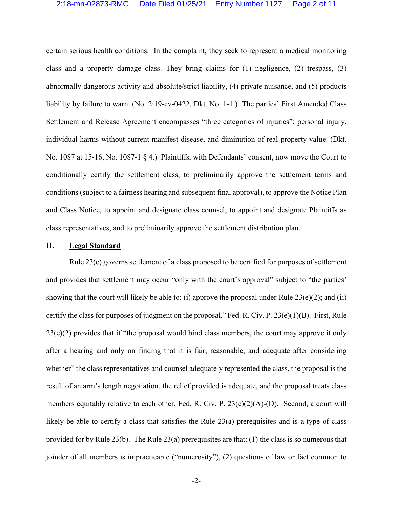certain serious health conditions. In the complaint, they seek to represent a medical monitoring class and a property damage class. They bring claims for (1) negligence, (2) trespass, (3) abnormally dangerous activity and absolute/strict liability, (4) private nuisance, and (5) products liability by failure to warn. (No. 2:19-cv-0422, Dkt. No. 1-1.) The parties' First Amended Class Settlement and Release Agreement encompasses "three categories of injuries": personal injury, individual harms without current manifest disease, and diminution of real property value. (Dkt. No. 1087 at 15-16, No. 1087-1 § 4.) Plaintiffs, with Defendants' consent, now move the Court to conditionally certify the settlement class, to preliminarily approve the settlement terms and conditions (subject to a fairness hearing and subsequent final approval), to approve the Notice Plan and Class Notice, to appoint and designate class counsel, to appoint and designate Plaintiffs as class representatives, and to preliminarily approve the settlement distribution plan.

#### **II. Legal Standard**

Rule 23(e) governs settlement of a class proposed to be certified for purposes of settlement and provides that settlement may occur "only with the court's approval" subject to "the parties' showing that the court will likely be able to: (i) approve the proposal under Rule 23(e)(2); and (ii) certify the class for purposes of judgment on the proposal." Fed. R. Civ. P. 23(e)(1)(B). First, Rule 23(e)(2) provides that if "the proposal would bind class members, the court may approve it only after a hearing and only on finding that it is fair, reasonable, and adequate after considering whether" the class representatives and counsel adequately represented the class, the proposal is the result of an arm's length negotiation, the relief provided is adequate, and the proposal treats class members equitably relative to each other. Fed. R. Civ. P. 23(e)(2)(A)-(D). Second, a court will likely be able to certify a class that satisfies the Rule 23(a) prerequisites and is a type of class provided for by Rule 23(b). The Rule 23(a) prerequisites are that: (1) the class is so numerous that joinder of all members is impracticable ("numerosity"), (2) questions of law or fact common to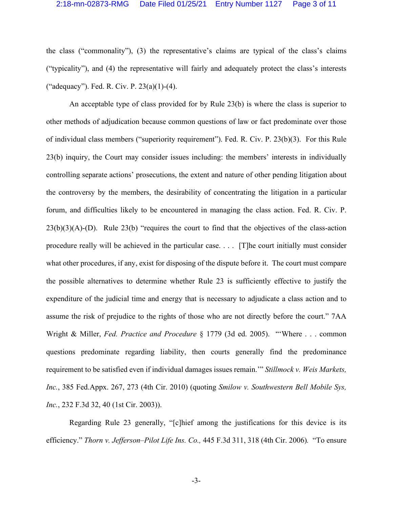the class ("commonality"), (3) the representative's claims are typical of the class's claims ("typicality"), and (4) the representative will fairly and adequately protect the class's interests ("adequacy"). Fed. R. Civ. P. 23(a)(1)-(4).

An acceptable type of class provided for by Rule 23(b) is where the class is superior to other methods of adjudication because common questions of law or fact predominate over those of individual class members ("superiority requirement"). Fed. R. Civ. P. 23(b)(3). For this Rule 23(b) inquiry, the Court may consider issues including: the members' interests in individually controlling separate actions' prosecutions, the extent and nature of other pending litigation about the controversy by the members, the desirability of concentrating the litigation in a particular forum, and difficulties likely to be encountered in managing the class action. Fed. R. Civ. P. 23(b)(3)(A)-(D). Rule 23(b) "requires the court to find that the objectives of the class-action procedure really will be achieved in the particular case. . . . [T]he court initially must consider what other procedures, if any, exist for disposing of the dispute before it. The court must compare the possible alternatives to determine whether Rule 23 is sufficiently effective to justify the expenditure of the judicial time and energy that is necessary to adjudicate a class action and to assume the risk of prejudice to the rights of those who are not directly before the court." 7AA Wright & Miller, *Fed. Practice and Procedure* § 1779 (3d ed. 2005). "'Where . . . common questions predominate regarding liability, then courts generally find the predominance requirement to be satisfied even if individual damages issues remain.'" *Stillmock v. Weis Markets, Inc.*, 385 Fed.Appx. 267, 273 (4th Cir. 2010) (quoting *Smilow v. Southwestern Bell Mobile Sys, Inc.*, 232 F.3d 32, 40 (1st Cir. 2003)).

Regarding Rule 23 generally, "[c]hief among the justifications for this device is its efficiency." *Thorn v. Jefferson–Pilot Life Ins. Co.,* 445 F.3d 311, 318 (4th Cir. 2006)*.* "To ensure

-3-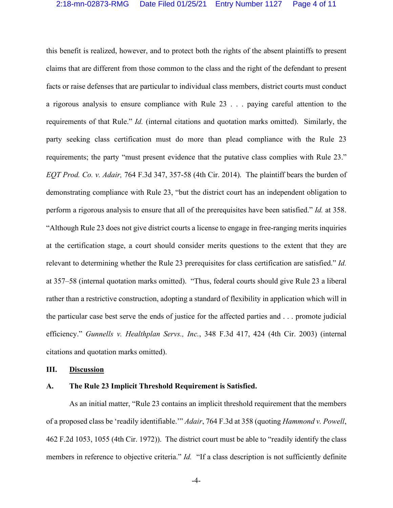this benefit is realized, however, and to protect both the rights of the absent plaintiffs to present claims that are different from those common to the class and the right of the defendant to present facts or raise defenses that are particular to individual class members, district courts must conduct a rigorous analysis to ensure compliance with Rule 23 . . . paying careful attention to the requirements of that Rule." *Id.* (internal citations and quotation marks omitted). Similarly, the party seeking class certification must do more than plead compliance with the Rule 23 requirements; the party "must present evidence that the putative class complies with Rule 23." *EQT Prod. Co. v. Adair,* 764 F.3d 347, 357-58 (4th Cir. 2014). The plaintiff bears the burden of demonstrating compliance with Rule 23, "but the district court has an independent obligation to perform a rigorous analysis to ensure that all of the prerequisites have been satisfied." *Id.* at 358. "Although Rule 23 does not give district courts a license to engage in free-ranging merits inquiries at the certification stage, a court should consider merits questions to the extent that they are relevant to determining whether the Rule 23 prerequisites for class certification are satisfied." *Id.* at 357–58 (internal quotation marks omitted). "Thus, federal courts should give Rule 23 a liberal rather than a restrictive construction, adopting a standard of flexibility in application which will in the particular case best serve the ends of justice for the affected parties and . . . promote judicial efficiency." *Gunnells v. Healthplan Servs., Inc.*, 348 F.3d 417, 424 (4th Cir. 2003) (internal citations and quotation marks omitted).

#### **III. Discussion**

# **A. The Rule 23 Implicit Threshold Requirement is Satisfied.**

As an initial matter, "Rule 23 contains an implicit threshold requirement that the members of a proposed class be 'readily identifiable.'" *Adair*, 764 F.3d at 358 (quoting *Hammond v. Powell*, 462 F.2d 1053, 1055 (4th Cir. 1972)). The district court must be able to "readily identify the class members in reference to objective criteria." *Id.* "If a class description is not sufficiently definite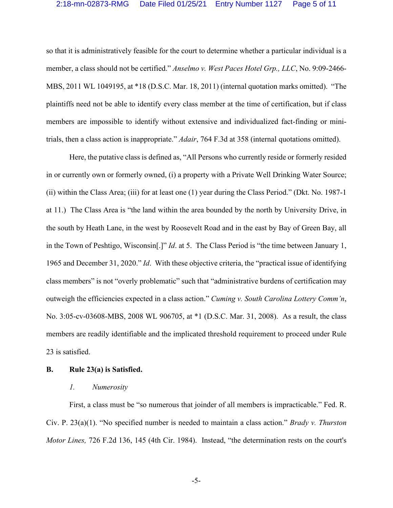so that it is administratively feasible for the court to determine whether a particular individual is a member, a class should not be certified." *Anselmo v. West Paces Hotel Grp., LLC*, No. 9:09-2466- MBS, 2011 WL 1049195, at \*18 (D.S.C. Mar. 18, 2011) (internal quotation marks omitted). "The plaintiffs need not be able to identify every class member at the time of certification, but if class members are impossible to identify without extensive and individualized fact-finding or minitrials, then a class action is inappropriate." *Adair*, 764 F.3d at 358 (internal quotations omitted).

Here, the putative class is defined as, "All Persons who currently reside or formerly resided in or currently own or formerly owned, (i) a property with a Private Well Drinking Water Source; (ii) within the Class Area; (iii) for at least one (1) year during the Class Period." (Dkt. No. 1987-1 at 11.) The Class Area is "the land within the area bounded by the north by University Drive, in the south by Heath Lane, in the west by Roosevelt Road and in the east by Bay of Green Bay, all in the Town of Peshtigo, Wisconsin[.]" *Id*. at 5. The Class Period is "the time between January 1, 1965 and December 31, 2020." *Id*. With these objective criteria, the "practical issue of identifying class members" is not "overly problematic" such that "administrative burdens of certification may outweigh the efficiencies expected in a class action." *Cuming v. South Carolina Lottery Comm'n*, No. 3:05-cv-03608-MBS, 2008 WL 906705, at \*1 (D.S.C. Mar. 31, 2008). As a result, the class members are readily identifiable and the implicated threshold requirement to proceed under Rule 23 is satisfied.

# **B. Rule 23(a) is Satisfied.**

# *1. Numerosity*

First, a class must be "so numerous that joinder of all members is impracticable." Fed. R. Civ. P. 23(a)(1). "No specified number is needed to maintain a class action." *Brady v. Thurston Motor Lines,* 726 F.2d 136, 145 (4th Cir. 1984). Instead, "the determination rests on the court's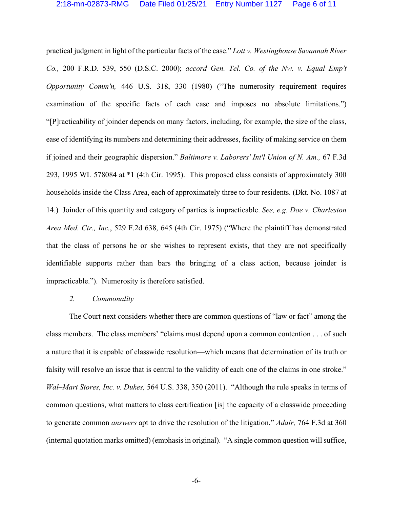practical judgment in light of the particular facts of the case." *Lott v. Westinghouse Savannah River Co.,* 200 F.R.D. 539, 550 (D.S.C. 2000); *accord Gen. Tel. Co. of the Nw. v. Equal Emp't Opportunity Comm'n,* 446 U.S. 318, 330 (1980) ("The numerosity requirement requires examination of the specific facts of each case and imposes no absolute limitations.") "[P]racticability of joinder depends on many factors, including, for example, the size of the class, ease of identifying its numbers and determining their addresses, facility of making service on them if joined and their geographic dispersion." *Baltimore v. Laborers' Int'l Union of N. Am.,* 67 F.3d 293, 1995 WL 578084 at \*1 (4th Cir. 1995). This proposed class consists of approximately 300 households inside the Class Area, each of approximately three to four residents. (Dkt. No. 1087 at 14.) Joinder of this quantity and category of parties is impracticable. *See, e.g. Doe v. Charleston Area Med. Ctr., Inc.*, 529 F.2d 638, 645 (4th Cir. 1975) ("Where the plaintiff has demonstrated that the class of persons he or she wishes to represent exists, that they are not specifically identifiable supports rather than bars the bringing of a class action, because joinder is impracticable."). Numerosity is therefore satisfied.

# *2. Commonality*

The Court next considers whether there are common questions of "law or fact" among the class members. The class members' "claims must depend upon a common contention . . . of such a nature that it is capable of classwide resolution—which means that determination of its truth or falsity will resolve an issue that is central to the validity of each one of the claims in one stroke." *Wal–Mart Stores, Inc. v. Dukes,* 564 U.S. 338, 350 (2011). "Although the rule speaks in terms of common questions, what matters to class certification [is] the capacity of a classwide proceeding to generate common *answers* apt to drive the resolution of the litigation." *Adair,* 764 F.3d at 360 (internal quotation marks omitted) (emphasis in original). "A single common question will suffice,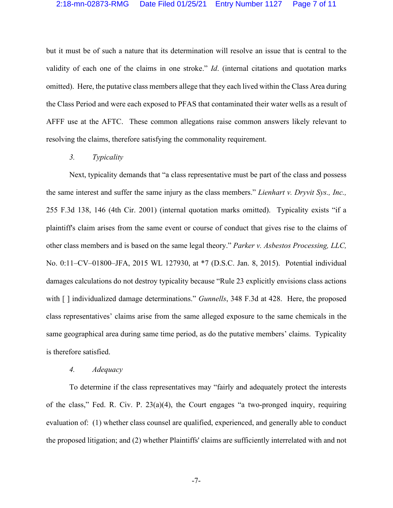but it must be of such a nature that its determination will resolve an issue that is central to the validity of each one of the claims in one stroke." *Id*. (internal citations and quotation marks omitted). Here, the putative class members allege that they each lived within the Class Area during the Class Period and were each exposed to PFAS that contaminated their water wells as a result of AFFF use at the AFTC. These common allegations raise common answers likely relevant to resolving the claims, therefore satisfying the commonality requirement.

#### *3. Typicality*

Next, typicality demands that "a class representative must be part of the class and possess the same interest and suffer the same injury as the class members." *Lienhart v. Dryvit Sys., Inc.,* 255 F.3d 138, 146 (4th Cir. 2001) (internal quotation marks omitted). Typicality exists "if a plaintiff's claim arises from the same event or course of conduct that gives rise to the claims of other class members and is based on the same legal theory." *Parker v. Asbestos Processing, LLC,* No. 0:11–CV–01800–JFA, 2015 WL 127930, at \*7 (D.S.C. Jan. 8, 2015). Potential individual damages calculations do not destroy typicality because "Rule 23 explicitly envisions class actions with [ ] individualized damage determinations." *Gunnells*, 348 F.3d at 428. Here, the proposed class representatives' claims arise from the same alleged exposure to the same chemicals in the same geographical area during same time period, as do the putative members' claims. Typicality is therefore satisfied.

#### *4. Adequacy*

To determine if the class representatives may "fairly and adequately protect the interests of the class," Fed. R. Civ. P. 23(a)(4), the Court engages "a two-pronged inquiry, requiring evaluation of: (1) whether class counsel are qualified, experienced, and generally able to conduct the proposed litigation; and (2) whether Plaintiffs' claims are sufficiently interrelated with and not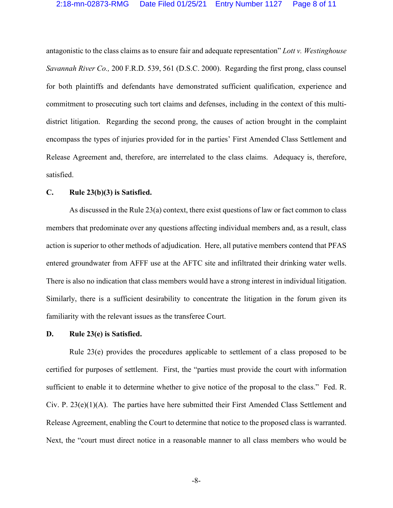antagonistic to the class claims as to ensure fair and adequate representation" *Lott v. Westinghouse Savannah River Co.,* 200 F.R.D. 539, 561 (D.S.C. 2000). Regarding the first prong, class counsel for both plaintiffs and defendants have demonstrated sufficient qualification, experience and commitment to prosecuting such tort claims and defenses, including in the context of this multidistrict litigation. Regarding the second prong, the causes of action brought in the complaint encompass the types of injuries provided for in the parties' First Amended Class Settlement and Release Agreement and, therefore, are interrelated to the class claims. Adequacy is, therefore, satisfied.

# **C. Rule 23(b)(3) is Satisfied.**

As discussed in the Rule 23(a) context, there exist questions of law or fact common to class members that predominate over any questions affecting individual members and, as a result, class action is superior to other methods of adjudication. Here, all putative members contend that PFAS entered groundwater from AFFF use at the AFTC site and infiltrated their drinking water wells. There is also no indication that class members would have a strong interest in individual litigation. Similarly, there is a sufficient desirability to concentrate the litigation in the forum given its familiarity with the relevant issues as the transferee Court.

#### **D. Rule 23(e) is Satisfied.**

Rule 23(e) provides the procedures applicable to settlement of a class proposed to be certified for purposes of settlement. First, the "parties must provide the court with information sufficient to enable it to determine whether to give notice of the proposal to the class." Fed. R. Civ. P.  $23(e)(1)(A)$ . The parties have here submitted their First Amended Class Settlement and Release Agreement, enabling the Court to determine that notice to the proposed class is warranted. Next, the "court must direct notice in a reasonable manner to all class members who would be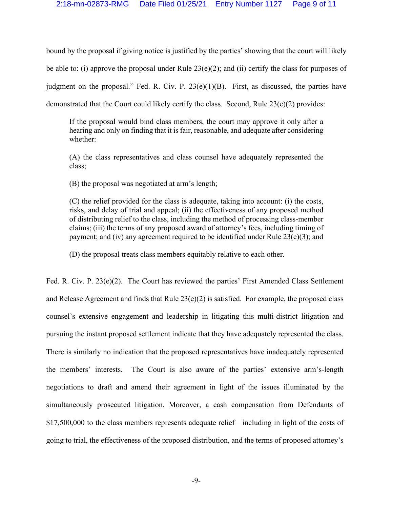bound by the proposal if giving notice is justified by the parties' showing that the court will likely be able to: (i) approve the proposal under Rule  $23(e)(2)$ ; and (ii) certify the class for purposes of judgment on the proposal." Fed. R. Civ. P.  $23(e)(1)(B)$ . First, as discussed, the parties have demonstrated that the Court could likely certify the class. Second, Rule 23(e)(2) provides:

If the proposal would bind class members, the court may approve it only after a hearing and only on finding that it is fair, reasonable, and adequate after considering whether:

(A) the class representatives and class counsel have adequately represented the class;

(B) the proposal was negotiated at arm's length;

(C) the relief provided for the class is adequate, taking into account: (i) the costs, risks, and delay of trial and appeal; (ii) the effectiveness of any proposed method of distributing relief to the class, including the method of processing class-member claims; (iii) the terms of any proposed award of attorney's fees, including timing of payment; and (iv) any agreement required to be identified under Rule 23(e)(3); and

(D) the proposal treats class members equitably relative to each other.

Fed. R. Civ. P. 23(e)(2). The Court has reviewed the parties' First Amended Class Settlement and Release Agreement and finds that Rule  $23(e)(2)$  is satisfied. For example, the proposed class counsel's extensive engagement and leadership in litigating this multi-district litigation and pursuing the instant proposed settlement indicate that they have adequately represented the class. There is similarly no indication that the proposed representatives have inadequately represented the members' interests. The Court is also aware of the parties' extensive arm's-length negotiations to draft and amend their agreement in light of the issues illuminated by the simultaneously prosecuted litigation. Moreover, a cash compensation from Defendants of \$17,500,000 to the class members represents adequate relief—including in light of the costs of going to trial, the effectiveness of the proposed distribution, and the terms of proposed attorney's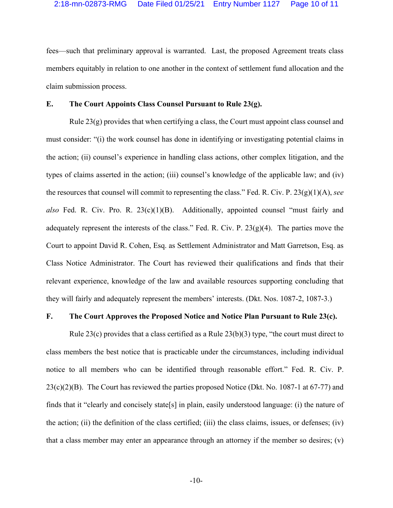fees—such that preliminary approval is warranted. Last, the proposed Agreement treats class members equitably in relation to one another in the context of settlement fund allocation and the claim submission process.

# **E. The Court Appoints Class Counsel Pursuant to Rule 23(g).**

Rule  $23(g)$  provides that when certifying a class, the Court must appoint class counsel and must consider: "(i) the work counsel has done in identifying or investigating potential claims in the action; (ii) counsel's experience in handling class actions, other complex litigation, and the types of claims asserted in the action; (iii) counsel's knowledge of the applicable law; and (iv) the resources that counsel will commit to representing the class." Fed. R. Civ. P. 23(g)(1)(A), *see also* Fed. R. Civ. Pro. R. 23(c)(1)(B). Additionally, appointed counsel "must fairly and adequately represent the interests of the class." Fed. R. Civ. P.  $23(g)(4)$ . The parties move the Court to appoint David R. Cohen, Esq. as Settlement Administrator and Matt Garretson, Esq. as Class Notice Administrator. The Court has reviewed their qualifications and finds that their relevant experience, knowledge of the law and available resources supporting concluding that they will fairly and adequately represent the members' interests. (Dkt. Nos. 1087-2, 1087-3.)

# **F. The Court Approves the Proposed Notice and Notice Plan Pursuant to Rule 23(c).**

Rule 23(c) provides that a class certified as a Rule  $23(b)(3)$  type, "the court must direct to class members the best notice that is practicable under the circumstances, including individual notice to all members who can be identified through reasonable effort." Fed. R. Civ. P.  $23(c)(2)(B)$ . The Court has reviewed the parties proposed Notice (Dkt. No. 1087-1 at 67-77) and finds that it "clearly and concisely state[s] in plain, easily understood language: (i) the nature of the action; (ii) the definition of the class certified; (iii) the class claims, issues, or defenses; (iv) that a class member may enter an appearance through an attorney if the member so desires; (v)